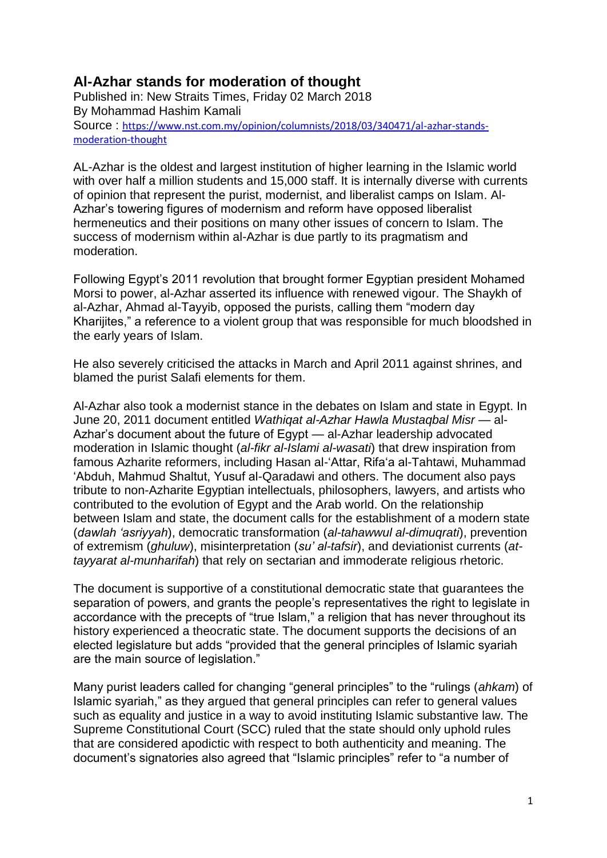## **Al-Azhar stands for moderation of thought**

Published in: New Straits Times, Friday 02 March 2018 By Mohammad Hashim Kamali Source : [https://www.nst.com.my/opinion/columnists/2018/03/340471/al-azhar-stands](https://www.nst.com.my/opinion/columnists/2018/03/340471/al-azhar-stands-moderation-thought)[moderation-thought](https://www.nst.com.my/opinion/columnists/2018/03/340471/al-azhar-stands-moderation-thought)

AL-Azhar is the oldest and largest institution of higher learning in the Islamic world with over half a million students and 15,000 staff. It is internally diverse with currents of opinion that represent the purist, modernist, and liberalist camps on Islam. Al-Azhar's towering figures of modernism and reform have opposed liberalist hermeneutics and their positions on many other issues of concern to Islam. The success of modernism within al-Azhar is due partly to its pragmatism and moderation.

Following Egypt's 2011 revolution that brought former Egyptian president Mohamed Morsi to power, al-Azhar asserted its influence with renewed vigour. The Shaykh of al-Azhar, Ahmad al-Tayyib, opposed the purists, calling them "modern day Kharijites," a reference to a violent group that was responsible for much bloodshed in the early years of Islam.

He also severely criticised the attacks in March and April 2011 against shrines, and blamed the purist Salafi elements for them.

Al-Azhar also took a modernist stance in the debates on Islam and state in Egypt. In June 20, 2011 document entitled *Wathiqat al-Azhar Hawla Mustaqbal Misr* — al-Azhar's document about the future of Egypt — al-Azhar leadership advocated moderation in Islamic thought (*al-fikr al-Islami al-wasati*) that drew inspiration from famous Azharite reformers, including Hasan al-'Attar, Rifa'a al-Tahtawi, Muhammad 'Abduh, Mahmud Shaltut, Yusuf al-Qaradawi and others. The document also pays tribute to non-Azharite Egyptian intellectuals, philosophers, lawyers, and artists who contributed to the evolution of Egypt and the Arab world. On the relationship between Islam and state, the document calls for the establishment of a modern state (*dawlah 'asriyyah*), democratic transformation (*al-tahawwul al-dimuqrati*), prevention of extremism (*ghuluw*), misinterpretation (*su' al-tafsir*), and deviationist currents (*attayyarat al-munharifah*) that rely on sectarian and immoderate religious rhetoric.

The document is supportive of a constitutional democratic state that guarantees the separation of powers, and grants the people's representatives the right to legislate in accordance with the precepts of "true Islam," a religion that has never throughout its history experienced a theocratic state. The document supports the decisions of an elected legislature but adds "provided that the general principles of Islamic syariah are the main source of legislation."

Many purist leaders called for changing "general principles" to the "rulings (*ahkam*) of Islamic syariah," as they argued that general principles can refer to general values such as equality and justice in a way to avoid instituting Islamic substantive law. The Supreme Constitutional Court (SCC) ruled that the state should only uphold rules that are considered apodictic with respect to both authenticity and meaning. The document's signatories also agreed that "Islamic principles" refer to "a number of